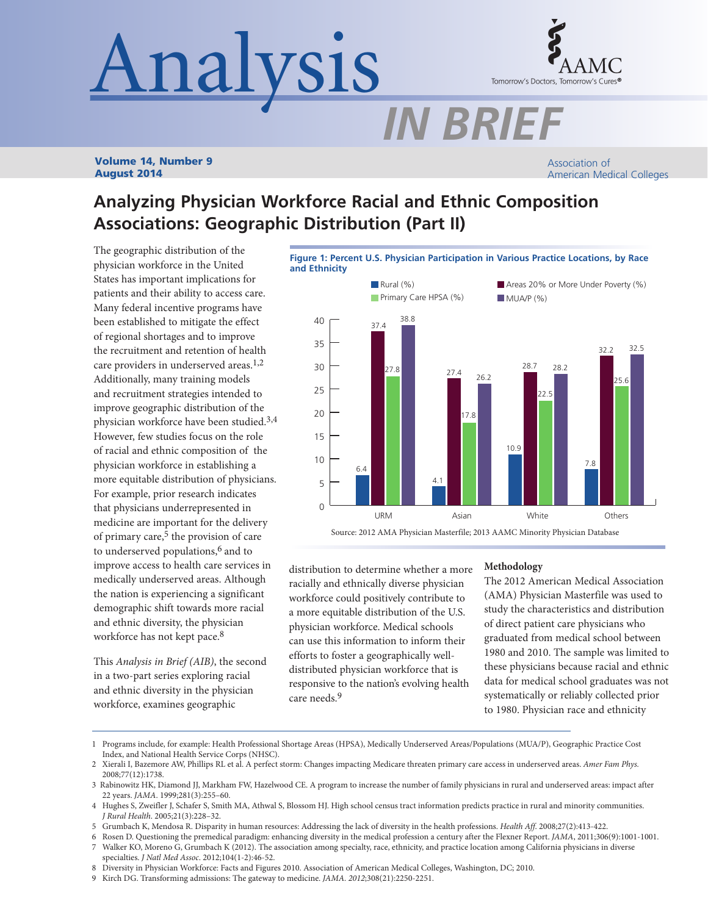# Analysis



## *IN BRIEF*

Volume 14, Number 9 August 2014

Association of American Medical Colleges

### **Analyzing Physician Workforce Racial and Ethnic Composition Associations: Geographic Distribution (Part II)**

The geographic distribution of the physician workforce in the United States has important implications for patients and their ability to access care. Many federal incentive programs have been established to mitigate the effect of regional shortages and to improve the recruitment and retention of health care providers in underserved areas.<sup>1,2</sup> Additionally, many training models and recruitment strategies intended to improve geographic distribution of the physician workforce have been studied.3,4 However, few studies focus on the role of racial and ethnic composition of the physician workforce in establishing a more equitable distribution of physicians. For example, prior research indicates that physicians underrepresented in medicine are important for the delivery of primary care, $5$  the provision of care to underserved populations,<sup>6</sup> and to improve access to health care services in medically underserved areas. Although the nation is experiencing a significant demographic shift towards more racial and ethnic diversity, the physician workforce has not kept pace.<sup>8</sup>

This *Analysis in Brief (AIB)*, the second in a two-part series exploring racial and ethnic diversity in the physician workforce, examines geographic



distribution to determine whether a more racially and ethnically diverse physician workforce could positively contribute to a more equitable distribution of the U.S. physician workforce. Medical schools can use this information to inform their efforts to foster a geographically welldistributed physician workforce that is responsive to the nation's evolving health care needs.9

#### **Methodology**

The 2012 American Medical Association (AMA) Physician Masterfile was used to study the characteristics and distribution of direct patient care physicians who graduated from medical school between 1980 and 2010. The sample was limited to these physicians because racial and ethnic data for medical school graduates was not systematically or reliably collected prior to 1980. Physician race and ethnicity

5 Grumbach K, Mendosa R. Disparity in human resources: Addressing the lack of diversity in the health professions. *Health Aff*. 2008;27(2):413-422.

<sup>1</sup> Programs include, for example: Health Professional Shortage Areas (HPSA), Medically Underserved Areas/Populations (MUA/P), Geographic Practice Cost Index, and National Health Service Corps (NHSC).

<sup>2</sup> Xierali I, Bazemore AW, Phillips RL et al. A perfect storm: Changes impacting Medicare threaten primary care access in underserved areas. *Amer Fam Phys.* 2008;77(12):1738.

<sup>3</sup> Rabinowitz HK, Diamond JJ, Markham FW, Hazelwood CE. A program to increase the number of family physicians in rural and underserved areas: impact after 22 years. *JAMA*. 1999;281(3):255–60.

<sup>4</sup> Hughes S, Zweifler J, Schafer S, Smith MA, Athwal S, Blossom HJ. High school census tract information predicts practice in rural and minority communities. *J Rural Health*. 2005;21(3):228–32.

<sup>6</sup> Rosen D. Questioning the premedical paradigm: enhancing diversity in the medical profession a century after the Flexner Report. *JAMA*, 2011;306(9):1001-1001. 7 Walker KO, Moreno G, Grumbach K (2012). The association among specialty, race, ethnicity, and practice location among California physicians in diverse specialties. *J Natl Med Assoc*. 2012;104(1-2):46-52.

<sup>8</sup> Diversity in Physician Workforce: Facts and Figures 2010. Association of American Medical Colleges, Washington, DC; 2010.

<sup>9</sup> Kirch DG. Transforming admissions: The gateway to medicine. *JAMA. 2012*;308(21):2250-2251.